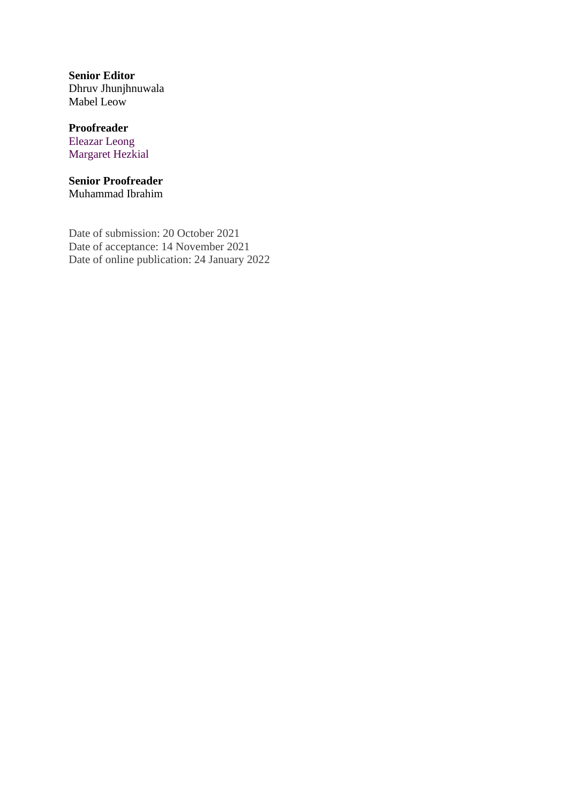**Senior Editor** Dhruv Jhunjhnuwala Mabel Leow

### **Proofreader** Eleazar Leong Margaret Hezkial

#### **Senior Proofreader** Muhammad Ibrahim

Date of submission: 20 October 2021 Date of acceptance: 14 November 2021 Date of online publication: 24 January 2022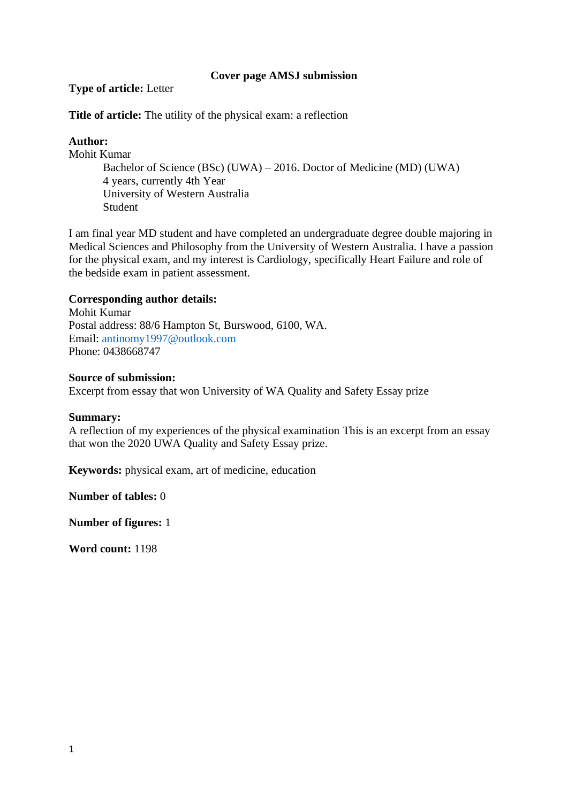### **Cover page AMSJ submission**

### **Type of article:** Letter

**Title of article:** The utility of the physical exam: a reflection

### **Author:**

Mohit Kumar

Bachelor of Science (BSc) (UWA) – 2016. Doctor of Medicine (MD) (UWA) 4 years, currently 4th Year University of Western Australia Student

I am final year MD student and have completed an undergraduate degree double majoring in Medical Sciences and Philosophy from the University of Western Australia. I have a passion for the physical exam, and my interest is Cardiology, specifically Heart Failure and role of the bedside exam in patient assessment.

### **Corresponding author details:**

Mohit Kumar Postal address: 88/6 Hampton St, Burswood, 6100, WA. Email: [antinomy1997@outlook.com](mailto:antinomy1997@outlook.com) Phone: 0438668747

#### **Source of submission:**

Excerpt from essay that won University of WA Quality and Safety Essay prize

#### **Summary:**

A reflection of my experiences of the physical examination This is an excerpt from an essay that won the 2020 UWA Quality and Safety Essay prize.

**Keywords:** physical exam, art of medicine, education

**Number of tables:** 0

**Number of figures:** 1

**Word count:** 1198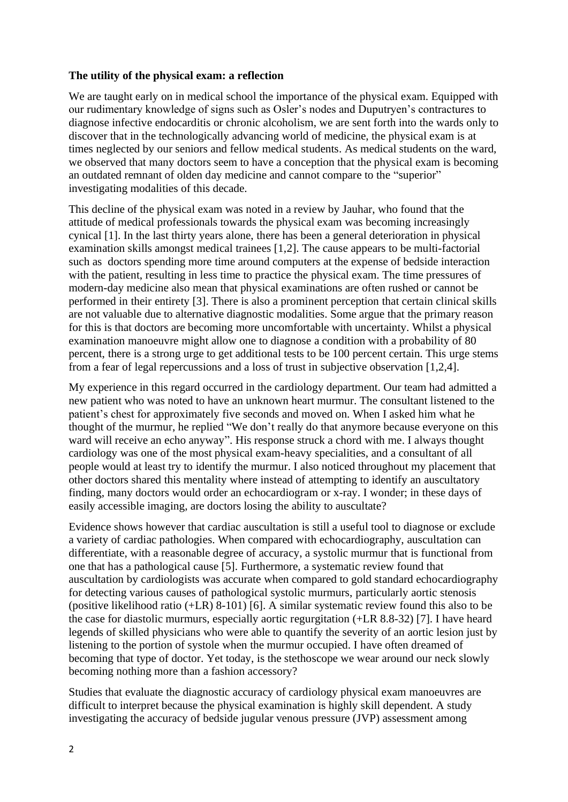### **The utility of the physical exam: a reflection**

We are taught early on in medical school the importance of the physical exam. Equipped with our rudimentary knowledge of signs such as Osler's nodes and Duputryen's contractures to diagnose infective endocarditis or chronic alcoholism, we are sent forth into the wards only to discover that in the technologically advancing world of medicine, the physical exam is at times neglected by our seniors and fellow medical students. As medical students on the ward, we observed that many doctors seem to have a conception that the physical exam is becoming an outdated remnant of olden day medicine and cannot compare to the "superior" investigating modalities of this decade.

This decline of the physical exam was noted in a review by Jauhar, who found that the attitude of medical professionals towards the physical exam was becoming increasingly cynical [1]. In the last thirty years alone, there has been a general deterioration in physical examination skills amongst medical trainees [1,2]. The cause appears to be multi-factorial such as doctors spending more time around computers at the expense of bedside interaction with the patient, resulting in less time to practice the physical exam. The time pressures of modern-day medicine also mean that physical examinations are often rushed or cannot be performed in their entirety [3]. There is also a prominent perception that certain clinical skills are not valuable due to alternative diagnostic modalities. Some argue that the primary reason for this is that doctors are becoming more uncomfortable with uncertainty. Whilst a physical examination manoeuvre might allow one to diagnose a condition with a probability of 80 percent, there is a strong urge to get additional tests to be 100 percent certain. This urge stems from a fear of legal repercussions and a loss of trust in subjective observation [1,2,4].

My experience in this regard occurred in the cardiology department. Our team had admitted a new patient who was noted to have an unknown heart murmur. The consultant listened to the patient's chest for approximately five seconds and moved on. When I asked him what he thought of the murmur, he replied "We don't really do that anymore because everyone on this ward will receive an echo anyway". His response struck a chord with me. I always thought cardiology was one of the most physical exam-heavy specialities, and a consultant of all people would at least try to identify the murmur. I also noticed throughout my placement that other doctors shared this mentality where instead of attempting to identify an auscultatory finding, many doctors would order an echocardiogram or x-ray. I wonder; in these days of easily accessible imaging, are doctors losing the ability to auscultate?

Evidence shows however that cardiac auscultation is still a useful tool to diagnose or exclude a variety of cardiac pathologies. When compared with echocardiography, auscultation can differentiate, with a reasonable degree of accuracy, a systolic murmur that is functional from one that has a pathological cause [5]. Furthermore, a systematic review found that auscultation by cardiologists was accurate when compared to gold standard echocardiography for detecting various causes of pathological systolic murmurs, particularly aortic stenosis (positive likelihood ratio (+LR) 8-101) [6]. A similar systematic review found this also to be the case for diastolic murmurs, especially aortic regurgitation (+LR 8.8-32) [7]. I have heard legends of skilled physicians who were able to quantify the severity of an aortic lesion just by listening to the portion of systole when the murmur occupied. I have often dreamed of becoming that type of doctor. Yet today, is the stethoscope we wear around our neck slowly becoming nothing more than a fashion accessory?

Studies that evaluate the diagnostic accuracy of cardiology physical exam manoeuvres are difficult to interpret because the physical examination is highly skill dependent. A study investigating the accuracy of bedside jugular venous pressure (JVP) assessment among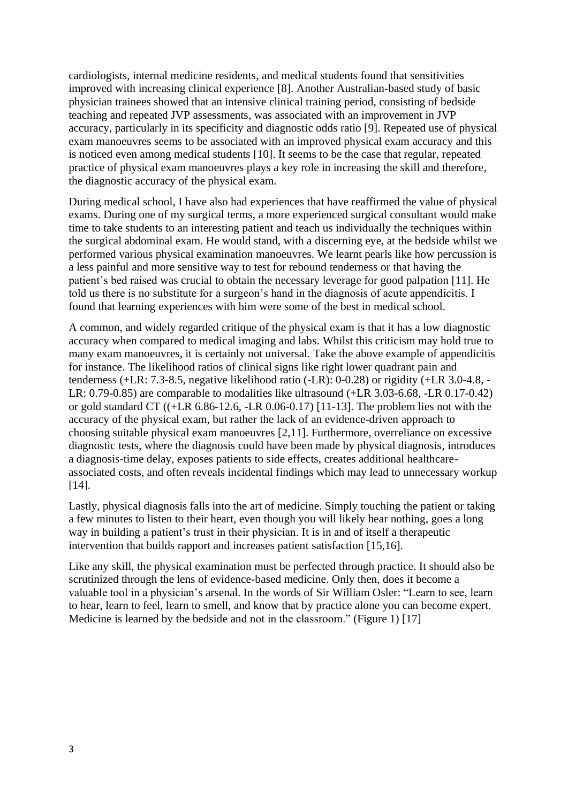cardiologists, internal medicine residents, and medical students found that sensitivities improved with increasing clinical experience [8]. Another Australian-based study of basic physician trainees showed that an intensive clinical training period, consisting of bedside teaching and repeated JVP assessments, was associated with an improvement in JVP accuracy, particularly in its specificity and diagnostic odds ratio [9]. Repeated use of physical exam manoeuvres seems to be associated with an improved physical exam accuracy and this is noticed even among medical students [10]. It seems to be the case that regular, repeated practice of physical exam manoeuvres plays a key role in increasing the skill and therefore, the diagnostic accuracy of the physical exam.

During medical school, I have also had experiences that have reaffirmed the value of physical exams. During one of my surgical terms, a more experienced surgical consultant would make time to take students to an interesting patient and teach us individually the techniques within the surgical abdominal exam. He would stand, with a discerning eye, at the bedside whilst we performed various physical examination manoeuvres. We learnt pearls like how percussion is a less painful and more sensitive way to test for rebound tenderness or that having the patient's bed raised was crucial to obtain the necessary leverage for good palpation [11]. He told us there is no substitute for a surgeon's hand in the diagnosis of acute appendicitis. I found that learning experiences with him were some of the best in medical school.

A common, and widely regarded critique of the physical exam is that it has a low diagnostic accuracy when compared to medical imaging and labs. Whilst this criticism may hold true to many exam manoeuvres, it is certainly not universal. Take the above example of appendicitis for instance. The likelihood ratios of clinical signs like right lower quadrant pain and tenderness (+LR: 7.3-8.5, negative likelihood ratio (-LR): 0-0.28) or rigidity (+LR 3.0-4.8, - LR: 0.79-0.85) are comparable to modalities like ultrasound (+LR 3.03-6.68, -LR 0.17-0.42) or gold standard CT ((+LR 6.86-12.6, -LR 0.06-0.17) [11-13]. The problem lies not with the accuracy of the physical exam, but rather the lack of an evidence-driven approach to choosing suitable physical exam manoeuvres [2,11]. Furthermore, overreliance on excessive diagnostic tests, where the diagnosis could have been made by physical diagnosis, introduces a diagnosis-time delay, exposes patients to side effects, creates additional healthcareassociated costs, and often reveals incidental findings which may lead to unnecessary workup [14].

Lastly, physical diagnosis falls into the art of medicine. Simply touching the patient or taking a few minutes to listen to their heart, even though you will likely hear nothing, goes a long way in building a patient's trust in their physician. It is in and of itself a therapeutic intervention that builds rapport and increases patient satisfaction [15,16].

Like any skill, the physical examination must be perfected through practice. It should also be scrutinized through the lens of evidence-based medicine. Only then, does it become a valuable tool in a physician's arsenal. In the words of Sir William Osler: "Learn to see, learn to hear, learn to feel, learn to smell, and know that by practice alone you can become expert. Medicine is learned by the bedside and not in the classroom." (Figure 1) [17]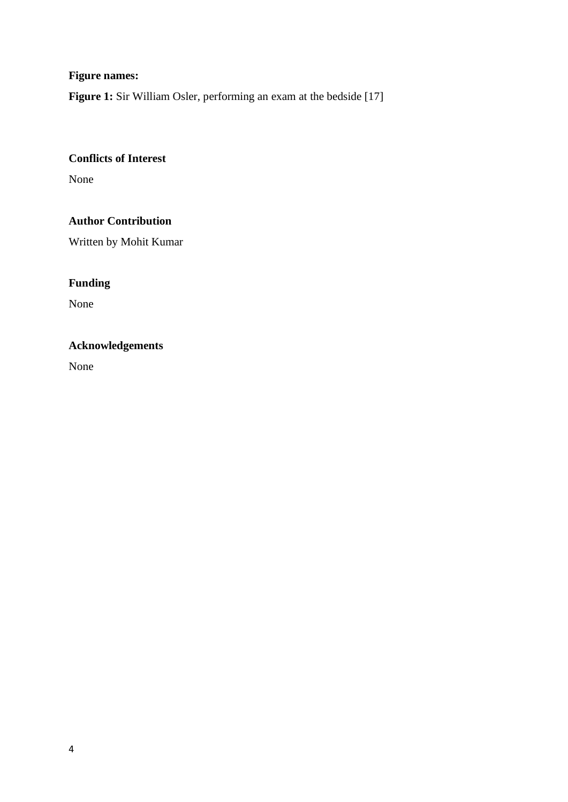# **Figure names:**

Figure 1: Sir William Osler, performing an exam at the bedside [17]

## **Conflicts of Interest**

None

### **Author Contribution**

Written by Mohit Kumar

# **Funding**

None

# **Acknowledgements**

None